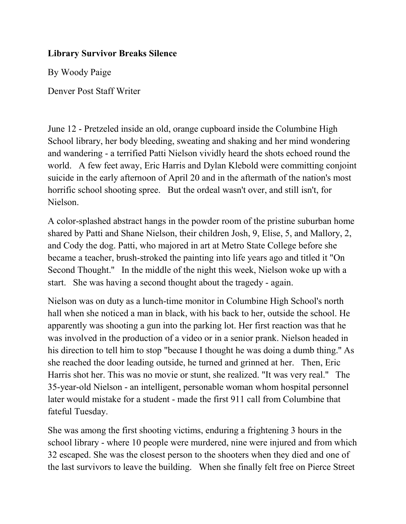## **Library Survivor Breaks Silence**

By Woody Paige

Denver Post Staff Writer

June 12 - Pretzeled inside an old, orange cupboard inside the Columbine High School library, her body bleeding, sweating and shaking and her mind wondering and wandering - a terrified Patti Nielson vividly heard the shots echoed round the world. A few feet away, Eric Harris and Dylan Klebold were committing conjoint suicide in the early afternoon of April 20 and in the aftermath of the nation's most horrific school shooting spree. But the ordeal wasn't over, and still isn't, for Nielson.

A color-splashed abstract hangs in the powder room of the pristine suburban home shared by Patti and Shane Nielson, their children Josh, 9, Elise, 5, and Mallory, 2, and Cody the dog. Patti, who majored in art at Metro State College before she became a teacher, brush-stroked the painting into life years ago and titled it "On Second Thought.'' In the middle of the night this week, Nielson woke up with a start. She was having a second thought about the tragedy - again.

Nielson was on duty as a lunch-time monitor in Columbine High School's north hall when she noticed a man in black, with his back to her, outside the school. He apparently was shooting a gun into the parking lot. Her first reaction was that he was involved in the production of a video or in a senior prank. Nielson headed in his direction to tell him to stop "because I thought he was doing a dumb thing.'' As she reached the door leading outside, he turned and grinned at her. Then, Eric Harris shot her. This was no movie or stunt, she realized. "It was very real.'' The 35-year-old Nielson - an intelligent, personable woman whom hospital personnel later would mistake for a student - made the first 911 call from Columbine that fateful Tuesday.

She was among the first shooting victims, enduring a frightening 3 hours in the school library - where 10 people were murdered, nine were injured and from which 32 escaped. She was the closest person to the shooters when they died and one of the last survivors to leave the building. When she finally felt free on Pierce Street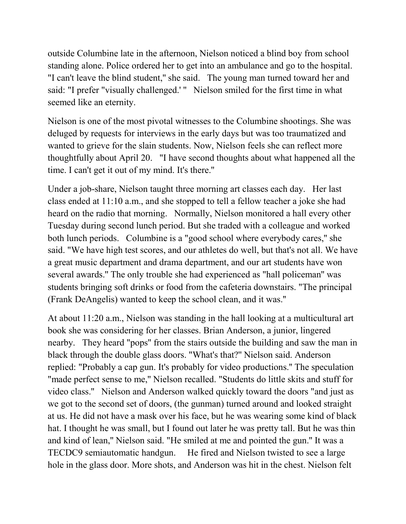outside Columbine late in the afternoon, Nielson noticed a blind boy from school standing alone. Police ordered her to get into an ambulance and go to the hospital. "I can't leave the blind student,'' she said. The young man turned toward her and said: "I prefer "visually challenged.' '' Nielson smiled for the first time in what seemed like an eternity.

Nielson is one of the most pivotal witnesses to the Columbine shootings. She was deluged by requests for interviews in the early days but was too traumatized and wanted to grieve for the slain students. Now, Nielson feels she can reflect more thoughtfully about April 20. "I have second thoughts about what happened all the time. I can't get it out of my mind. It's there.''

Under a job-share, Nielson taught three morning art classes each day. Her last class ended at 11:10 a.m., and she stopped to tell a fellow teacher a joke she had heard on the radio that morning. Normally, Nielson monitored a hall every other Tuesday during second lunch period. But she traded with a colleague and worked both lunch periods. Columbine is a "good school where everybody cares,'' she said. "We have high test scores, and our athletes do well, but that's not all. We have a great music department and drama department, and our art students have won several awards.'' The only trouble she had experienced as "hall policeman'' was students bringing soft drinks or food from the cafeteria downstairs. "The principal (Frank DeAngelis) wanted to keep the school clean, and it was.''

At about 11:20 a.m., Nielson was standing in the hall looking at a multicultural art book she was considering for her classes. Brian Anderson, a junior, lingered nearby. They heard "pops'' from the stairs outside the building and saw the man in black through the double glass doors. "What's that?'' Nielson said. Anderson replied: "Probably a cap gun. It's probably for video productions.'' The speculation "made perfect sense to me,'' Nielson recalled. "Students do little skits and stuff for video class.'' Nielson and Anderson walked quickly toward the doors "and just as we got to the second set of doors, (the gunman) turned around and looked straight at us. He did not have a mask over his face, but he was wearing some kind of black hat. I thought he was small, but I found out later he was pretty tall. But he was thin and kind of lean,'' Nielson said. "He smiled at me and pointed the gun.'' It was a TECDC9 semiautomatic handgun. He fired and Nielson twisted to see a large hole in the glass door. More shots, and Anderson was hit in the chest. Nielson felt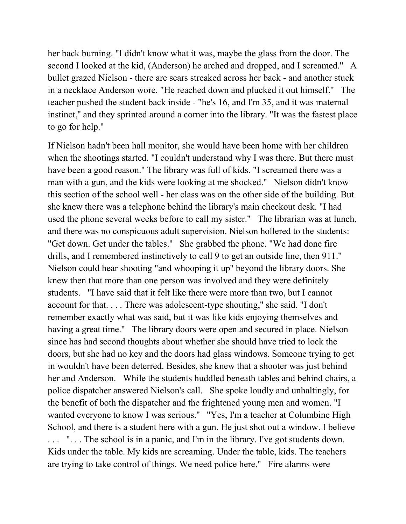her back burning. "I didn't know what it was, maybe the glass from the door. The second I looked at the kid, (Anderson) he arched and dropped, and I screamed.'' A bullet grazed Nielson - there are scars streaked across her back - and another stuck in a necklace Anderson wore. "He reached down and plucked it out himself.'' The teacher pushed the student back inside - "he's 16, and I'm 35, and it was maternal instinct,'' and they sprinted around a corner into the library. "It was the fastest place to go for help.''

If Nielson hadn't been hall monitor, she would have been home with her children when the shootings started. "I couldn't understand why I was there. But there must have been a good reason.'' The library was full of kids. "I screamed there was a man with a gun, and the kids were looking at me shocked.'' Nielson didn't know this section of the school well - her class was on the other side of the building. But she knew there was a telephone behind the library's main checkout desk. "I had used the phone several weeks before to call my sister.'' The librarian was at lunch, and there was no conspicuous adult supervision. Nielson hollered to the students: "Get down. Get under the tables.'' She grabbed the phone. "We had done fire drills, and I remembered instinctively to call 9 to get an outside line, then 911.'' Nielson could hear shooting "and whooping it up'' beyond the library doors. She knew then that more than one person was involved and they were definitely students. "I have said that it felt like there were more than two, but I cannot account for that. . . . There was adolescent-type shouting,'' she said. "I don't remember exactly what was said, but it was like kids enjoying themselves and having a great time." The library doors were open and secured in place. Nielson since has had second thoughts about whether she should have tried to lock the doors, but she had no key and the doors had glass windows. Someone trying to get in wouldn't have been deterred. Besides, she knew that a shooter was just behind her and Anderson. While the students huddled beneath tables and behind chairs, a police dispatcher answered Nielson's call. She spoke loudly and unhaltingly, for the benefit of both the dispatcher and the frightened young men and women. "I wanted everyone to know I was serious." "Yes, I'm a teacher at Columbine High School, and there is a student here with a gun. He just shot out a window. I believe ... "... The school is in a panic, and I'm in the library. I've got students down. Kids under the table. My kids are screaming. Under the table, kids. The teachers are trying to take control of things. We need police here.'' Fire alarms were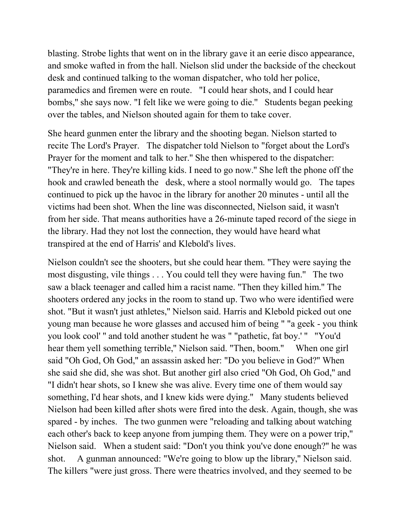blasting. Strobe lights that went on in the library gave it an eerie disco appearance, and smoke wafted in from the hall. Nielson slid under the backside of the checkout desk and continued talking to the woman dispatcher, who told her police, paramedics and firemen were en route. "I could hear shots, and I could hear bombs,'' she says now. "I felt like we were going to die.'' Students began peeking over the tables, and Nielson shouted again for them to take cover.

She heard gunmen enter the library and the shooting began. Nielson started to recite The Lord's Prayer. The dispatcher told Nielson to "forget about the Lord's Prayer for the moment and talk to her.'' She then whispered to the dispatcher: "They're in here. They're killing kids. I need to go now.'' She left the phone off the hook and crawled beneath the desk, where a stool normally would go. The tapes continued to pick up the havoc in the library for another 20 minutes - until all the victims had been shot. When the line was disconnected, Nielson said, it wasn't from her side. That means authorities have a 26-minute taped record of the siege in the library. Had they not lost the connection, they would have heard what transpired at the end of Harris' and Klebold's lives.

Nielson couldn't see the shooters, but she could hear them. "They were saying the most disgusting, vile things . . . You could tell they were having fun.'' The two saw a black teenager and called him a racist name. "Then they killed him.'' The shooters ordered any jocks in the room to stand up. Two who were identified were shot. "But it wasn't just athletes,'' Nielson said. Harris and Klebold picked out one young man because he wore glasses and accused him of being " "a geek - you think you look cool' '' and told another student he was " "pathetic, fat boy.' '' "You'd hear them yell something terrible,'' Nielson said. "Then, boom.'' When one girl said "Oh God, Oh God,'' an assassin asked her: "Do you believe in God?'' When she said she did, she was shot. But another girl also cried "Oh God, Oh God,'' and "I didn't hear shots, so I knew she was alive. Every time one of them would say something, I'd hear shots, and I knew kids were dying.'' Many students believed Nielson had been killed after shots were fired into the desk. Again, though, she was spared - by inches. The two gunmen were "reloading and talking about watching each other's back to keep anyone from jumping them. They were on a power trip,'' Nielson said. When a student said: "Don't you think you've done enough?'' he was shot. A gunman announced: "We're going to blow up the library,'' Nielson said. The killers "were just gross. There were theatrics involved, and they seemed to be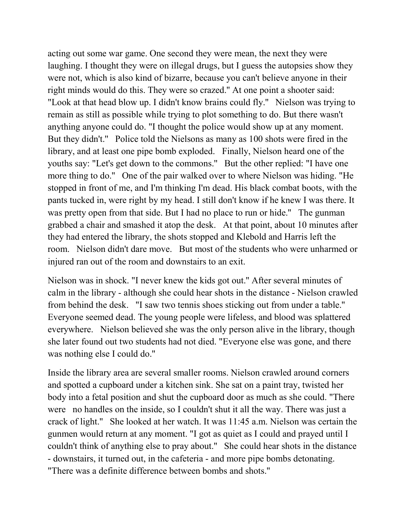acting out some war game. One second they were mean, the next they were laughing. I thought they were on illegal drugs, but I guess the autopsies show they were not, which is also kind of bizarre, because you can't believe anyone in their right minds would do this. They were so crazed.'' At one point a shooter said: "Look at that head blow up. I didn't know brains could fly.'' Nielson was trying to remain as still as possible while trying to plot something to do. But there wasn't anything anyone could do. "I thought the police would show up at any moment. But they didn't.'' Police told the Nielsons as many as 100 shots were fired in the library, and at least one pipe bomb exploded. Finally, Nielson heard one of the youths say: "Let's get down to the commons.'' But the other replied: "I have one more thing to do.'' One of the pair walked over to where Nielson was hiding. "He stopped in front of me, and I'm thinking I'm dead. His black combat boots, with the pants tucked in, were right by my head. I still don't know if he knew I was there. It was pretty open from that side. But I had no place to run or hide.'' The gunman grabbed a chair and smashed it atop the desk. At that point, about 10 minutes after they had entered the library, the shots stopped and Klebold and Harris left the room. Nielson didn't dare move. But most of the students who were unharmed or injured ran out of the room and downstairs to an exit.

Nielson was in shock. "I never knew the kids got out.'' After several minutes of calm in the library - although she could hear shots in the distance - Nielson crawled from behind the desk. "I saw two tennis shoes sticking out from under a table.'' Everyone seemed dead. The young people were lifeless, and blood was splattered everywhere. Nielson believed she was the only person alive in the library, though she later found out two students had not died. "Everyone else was gone, and there was nothing else I could do.''

Inside the library area are several smaller rooms. Nielson crawled around corners and spotted a cupboard under a kitchen sink. She sat on a paint tray, twisted her body into a fetal position and shut the cupboard door as much as she could. "There were no handles on the inside, so I couldn't shut it all the way. There was just a crack of light.'' She looked at her watch. It was 11:45 a.m. Nielson was certain the gunmen would return at any moment. "I got as quiet as I could and prayed until I couldn't think of anything else to pray about.'' She could hear shots in the distance - downstairs, it turned out, in the cafeteria - and more pipe bombs detonating. "There was a definite difference between bombs and shots.''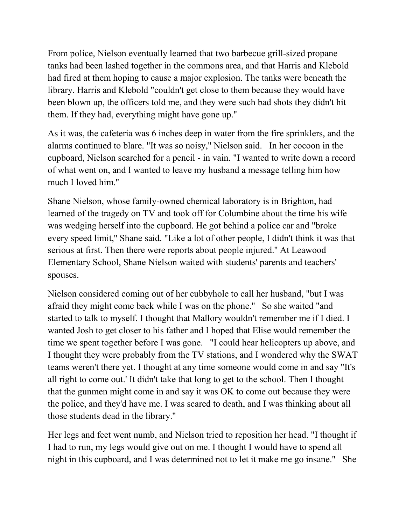From police, Nielson eventually learned that two barbecue grill-sized propane tanks had been lashed together in the commons area, and that Harris and Klebold had fired at them hoping to cause a major explosion. The tanks were beneath the library. Harris and Klebold "couldn't get close to them because they would have been blown up, the officers told me, and they were such bad shots they didn't hit them. If they had, everything might have gone up.''

As it was, the cafeteria was 6 inches deep in water from the fire sprinklers, and the alarms continued to blare. "It was so noisy,'' Nielson said. In her cocoon in the cupboard, Nielson searched for a pencil - in vain. "I wanted to write down a record of what went on, and I wanted to leave my husband a message telling him how much I loved him.''

Shane Nielson, whose family-owned chemical laboratory is in Brighton, had learned of the tragedy on TV and took off for Columbine about the time his wife was wedging herself into the cupboard. He got behind a police car and "broke every speed limit,'' Shane said. "Like a lot of other people, I didn't think it was that serious at first. Then there were reports about people injured.'' At Leawood Elementary School, Shane Nielson waited with students' parents and teachers' spouses.

Nielson considered coming out of her cubbyhole to call her husband, "but I was afraid they might come back while I was on the phone.'' So she waited "and started to talk to myself. I thought that Mallory wouldn't remember me if I died. I wanted Josh to get closer to his father and I hoped that Elise would remember the time we spent together before I was gone. "I could hear helicopters up above, and I thought they were probably from the TV stations, and I wondered why the SWAT teams weren't there yet. I thought at any time someone would come in and say "It's all right to come out.' It didn't take that long to get to the school. Then I thought that the gunmen might come in and say it was OK to come out because they were the police, and they'd have me. I was scared to death, and I was thinking about all those students dead in the library.''

Her legs and feet went numb, and Nielson tried to reposition her head. "I thought if I had to run, my legs would give out on me. I thought I would have to spend all night in this cupboard, and I was determined not to let it make me go insane.'' She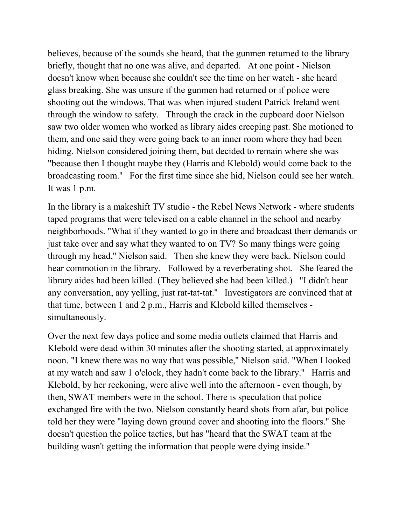believes, because of the sounds she heard, that the gunmen returned to the library briefly, thought that no one was alive, and departed. At one point - Nielson doesn't know when because she couldn't see the time on her watch - she heard glass breaking. She was unsure if the gunmen had returned or if police were shooting out the windows. That was when injured student Patrick Ireland went through the window to safety. Through the crack in the cupboard door Nielson saw two older women who worked as library aides creeping past. She motioned to them, and one said they were going back to an inner room where they had been hiding. Nielson considered joining them, but decided to remain where she was "because then I thought maybe they (Harris and Klebold) would come back to the broadcasting room.'' For the first time since she hid, Nielson could see her watch. It was 1 p.m.

In the library is a makeshift TV studio - the Rebel News Network - where students taped programs that were televised on a cable channel in the school and nearby neighborhoods. "What if they wanted to go in there and broadcast their demands or just take over and say what they wanted to on TV? So many things were going through my head,'' Nielson said. Then she knew they were back. Nielson could hear commotion in the library. Followed by a reverberating shot. She feared the library aides had been killed. (They believed she had been killed.) "I didn't hear any conversation, any yelling, just rat-tat-tat.'' Investigators are convinced that at that time, between 1 and 2 p.m., Harris and Klebold killed themselves simultaneously.

Over the next few days police and some media outlets claimed that Harris and Klebold were dead within 30 minutes after the shooting started, at approximately noon. "I knew there was no way that was possible,'' Nielson said. "When I looked at my watch and saw 1 o'clock, they hadn't come back to the library.'' Harris and Klebold, by her reckoning, were alive well into the afternoon - even though, by then, SWAT members were in the school. There is speculation that police exchanged fire with the two. Nielson constantly heard shots from afar, but police told her they were "laying down ground cover and shooting into the floors.'' She doesn't question the police tactics, but has "heard that the SWAT team at the building wasn't getting the information that people were dying inside.''